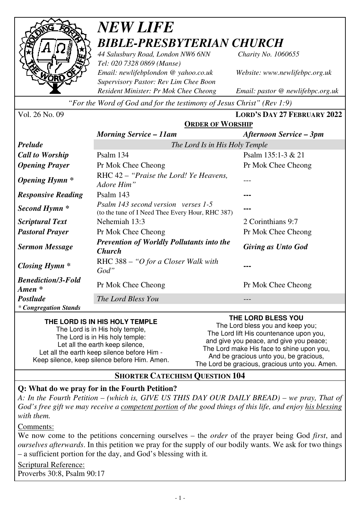

# *NEW LIFE BIBLE-PRESBYTERIAN CHURCH*

*44 Salusbury Road, London NW6 6NN Charity No. 1060655 Tel: 020 7328 0869 (Manse) Email: newlifebplondon @ yahoo.co.uk Website: www.newlifebpc.org.uk Supervisory Pastor: Rev Lim Chee Boon Resident Minister: Pr Mok Chee Cheong Email: pastor @ newlifebpc.org.uk* 

*"For the Word of God and for the testimony of Jesus Christ" (Rev 1:9)*

Vol. 26 No. 09 **LORD'S DAY 27 FEBRUARY 2022**

|                                                 | <b>ORDER OF WORSHIP</b>                                                                 |                           |
|-------------------------------------------------|-----------------------------------------------------------------------------------------|---------------------------|
|                                                 | <b>Morning Service – 11am</b>                                                           | Afternoon Service – 3pm   |
| <b>Prelude</b>                                  | The Lord Is in His Holy Temple                                                          |                           |
| <b>Call to Worship</b>                          | Psalm 134                                                                               | Psalm $135:1-3 & 21$      |
| <b>Opening Prayer</b>                           | Pr Mok Chee Cheong                                                                      | Pr Mok Chee Cheong        |
| <i><b>Opening Hymn</b></i> *                    | RHC 42 – "Praise the Lord! Ye Heavens,<br>Adore Him"                                    |                           |
| <b>Responsive Reading</b>                       | Psalm 143                                                                               |                           |
| Second Hymn <sup>*</sup>                        | Psalm 143 second version verses 1-5<br>(to the tune of I Need Thee Every Hour, RHC 387) |                           |
| <i>Scriptural Text</i>                          | Nehemiah 13:3                                                                           | 2 Corinthians 9:7         |
| <b>Pastoral Prayer</b>                          | Pr Mok Chee Cheong                                                                      | Pr Mok Chee Cheong        |
| <b>Sermon Message</b>                           | <b>Prevention of Worldly Pollutants into the</b><br><b>Church</b>                       | <b>Giving as Unto God</b> |
| Closing Hymn *                                  | RHC 388 – "O for a Closer Walk with<br>God"                                             |                           |
| <b>Benediction/3-Fold</b><br>$A$ <i>men</i> $*$ | Pr Mok Chee Cheong                                                                      | Pr Mok Chee Cheong        |
| <b>Postlude</b>                                 | The Lord Bless You                                                                      | ---                       |
| * Congregation Stands                           |                                                                                         |                           |

#### **THE LORD IS IN HIS HOLY TEMPLE**

The Lord is in His holy temple, The Lord is in His holy temple: Let all the earth keep silence. Let all the earth keep silence before Him - Keep silence, keep silence before Him. Amen. **THE LORD BLESS YOU** 

The Lord bless you and keep you; The Lord lift His countenance upon you, and give you peace, and give you peace; The Lord make His face to shine upon you, And be gracious unto you, be gracious, The Lord be gracious, gracious unto you. Amen.

#### **SHORTER CATECHISM QUESTION 104**

## **Q: What do we pray for in the Fourth Petition?**

*A: In the Fourth Petition – (which is, GIVE US THIS DAY OUR DAILY BREAD) – we pray, That of God's free gift we may receive a competent portion of the good things of this life, and enjoy his blessing with them.* 

Comments:

We now come to the petitions concerning ourselves – the *order* of the prayer being God *first*, and *ourselves afterwards*. In this petition we pray for the supply of our bodily wants. We ask for two things – a sufficient portion for the day, and God's blessing with it*.*

Scriptural Reference: Proverbs 30:8, Psalm 90:17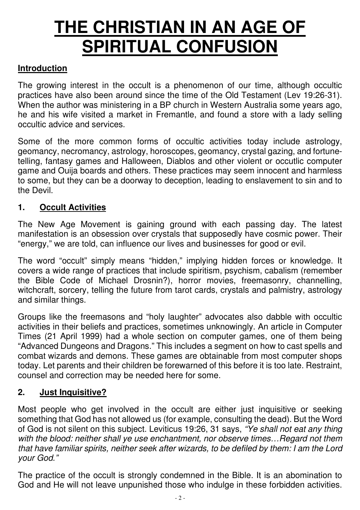# **THE CHRISTIAN IN AN AGE OF SPIRITUAL CONFUSION**

## **Introduction**

The growing interest in the occult is a phenomenon of our time, although occultic practices have also been around since the time of the Old Testament (Lev 19:26-31). When the author was ministering in a BP church in Western Australia some years ago, he and his wife visited a market in Fremantle, and found a store with a lady selling occultic advice and services.

Some of the more common forms of occultic activities today include astrology, geomancy, necromancy, astrology, horoscopes, geomancy, crystal gazing, and fortunetelling, fantasy games and Halloween, Diablos and other violent or occutlic computer game and Ouija boards and others. These practices may seem innocent and harmless to some, but they can be a doorway to deception, leading to enslavement to sin and to the Devil.

#### **1. Occult Activities**

The New Age Movement is gaining ground with each passing day. The latest manifestation is an obsession over crystals that supposedly have cosmic power. Their "energy," we are told, can influence our lives and businesses for good or evil.

The word "occult" simply means "hidden," implying hidden forces or knowledge. It covers a wide range of practices that include spiritism, psychism, cabalism (remember the Bible Code of Michael Drosnin?), horror movies, freemasonry, channelling, witchcraft, sorcery, telling the future from tarot cards, crystals and palmistry, astrology and similar things.

Groups like the freemasons and "holy laughter" advocates also dabble with occultic activities in their beliefs and practices, sometimes unknowingly. An article in Computer Times (21 April 1999) had a whole section on computer games, one of them being "Advanced Dungeons and Dragons." This includes a segment on how to cast spells and combat wizards and demons. These games are obtainable from most computer shops today. Let parents and their children be forewarned of this before it is too late. Restraint, counsel and correction may be needed here for some.

## **2. Just Inquisitive?**

Most people who get involved in the occult are either just inquisitive or seeking something that God has not allowed us (for example, consulting the dead). But the Word of God is not silent on this subject. Leviticus 19:26, 31 says, *"Ye shall not eat any thing with the blood: neither shall ye use enchantment, nor observe times…Regard not them that have familiar spirits, neither seek after wizards, to be defiled by them: I am the Lord your God."*

The practice of the occult is strongly condemned in the Bible. It is an abomination to God and He will not leave unpunished those who indulge in these forbidden activities.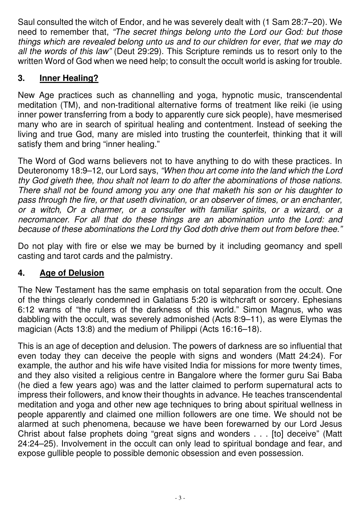Saul consulted the witch of Endor, and he was severely dealt with (1 Sam 28:7–20). We need to remember that, *"The secret things belong unto the Lord our God: but those things which are revealed belong unto us and to our children for ever, that we may do all the words of this law"* (Deut 29:29). This Scripture reminds us to resort only to the written Word of God when we need help; to consult the occult world is asking for trouble.

#### **3. Inner Healing?**

New Age practices such as channelling and yoga, hypnotic music, transcendental meditation (TM), and non-traditional alternative forms of treatment like reiki (ie using inner power transferring from a body to apparently cure sick people), have mesmerised many who are in search of spiritual healing and contentment. Instead of seeking the living and true God, many are misled into trusting the counterfeit, thinking that it will satisfy them and bring "inner healing."

The Word of God warns believers not to have anything to do with these practices. In Deuteronomy 18:9–12, our Lord says, *"When thou art come into the land which the Lord thy God giveth thee, thou shalt not learn to do after the abominations of those nations. There shall not be found among you any one that maketh his son or his daughter to pass through the fire, or that useth divination, or an observer of times, or an enchanter, or a witch, Or a charmer, or a consulter with familiar spirits, or a wizard, or a necromancer. For all that do these things are an abomination unto the Lord: and because of these abominations the Lord thy God doth drive them out from before thee."*

Do not play with fire or else we may be burned by it including geomancy and spell casting and tarot cards and the palmistry.

## **4. Age of Delusion**

The New Testament has the same emphasis on total separation from the occult. One of the things clearly condemned in Galatians 5:20 is witchcraft or sorcery. Ephesians 6:12 warns of "the rulers of the darkness of this world." Simon Magnus, who was dabbling with the occult, was severely admonished (Acts 8:9–11), as were Elymas the magician (Acts 13:8) and the medium of Philippi (Acts 16:16–18).

This is an age of deception and delusion. The powers of darkness are so influential that even today they can deceive the people with signs and wonders (Matt 24:24). For example, the author and his wife have visited India for missions for more twenty times, and they also visited a religious centre in Bangalore where the former guru Sai Baba (he died a few years ago) was and the latter claimed to perform supernatural acts to impress their followers, and know their thoughts in advance. He teaches transcendental meditation and yoga and other new age techniques to bring about spiritual wellness in people apparently and claimed one million followers are one time. We should not be alarmed at such phenomena, because we have been forewarned by our Lord Jesus Christ about false prophets doing "great signs and wonders . . . [to] deceive" (Matt 24:24–25). Involvement in the occult can only lead to spiritual bondage and fear, and expose gullible people to possible demonic obsession and even possession.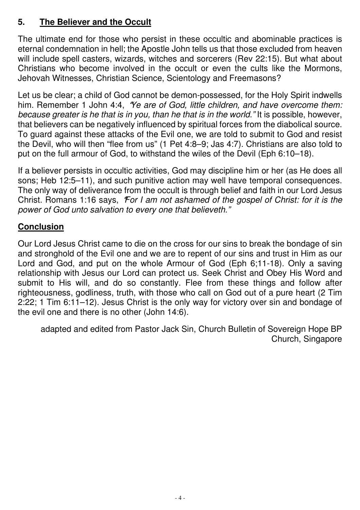#### **5. The Believer and the Occult**

The ultimate end for those who persist in these occultic and abominable practices is eternal condemnation in hell; the Apostle John tells us that those excluded from heaven will include spell casters, wizards, witches and sorcerers (Rev 22:15). But what about Christians who become involved in the occult or even the cults like the Mormons, Jehovah Witnesses, Christian Science, Scientology and Freemasons?

Let us be clear; a child of God cannot be demon-possessed, for the Holy Spirit indwells him. Remember 1 John 4:4, **"***Ye are of God, little children, and have overcome them: because greater is he that is in you, than he that is in the world."* It is possible, however, that believers can be negatively influenced by spiritual forces from the diabolical source. To guard against these attacks of the Evil one, we are told to submit to God and resist the Devil, who will then "flee from us" (1 Pet 4:8–9; Jas 4:7). Christians are also told to put on the full armour of God, to withstand the wiles of the Devil (Eph 6:10–18).

If a believer persists in occultic activities, God may discipline him or her (as He does all sons; Heb 12:5–11), and such punitive action may well have temporal consequences. The only way of deliverance from the occult is through belief and faith in our Lord Jesus Christ. Romans 1:16 says, **"***For I am not ashamed of the gospel of Christ: for it is the power of God unto salvation to every one that believeth."*

#### **Conclusion**

Our Lord Jesus Christ came to die on the cross for our sins to break the bondage of sin and stronghold of the Evil one and we are to repent of our sins and trust in Him as our Lord and God, and put on the whole Armour of God (Eph 6;11-18). Only a saving relationship with Jesus our Lord can protect us. Seek Christ and Obey His Word and submit to His will, and do so constantly. Flee from these things and follow after righteousness, godliness, truth, with those who call on God out of a pure heart (2 Tim 2:22; 1 Tim 6:11–12). Jesus Christ is the only way for victory over sin and bondage of the evil one and there is no other (John 14:6).

adapted and edited from Pastor Jack Sin, Church Bulletin of Sovereign Hope BP Church, Singapore